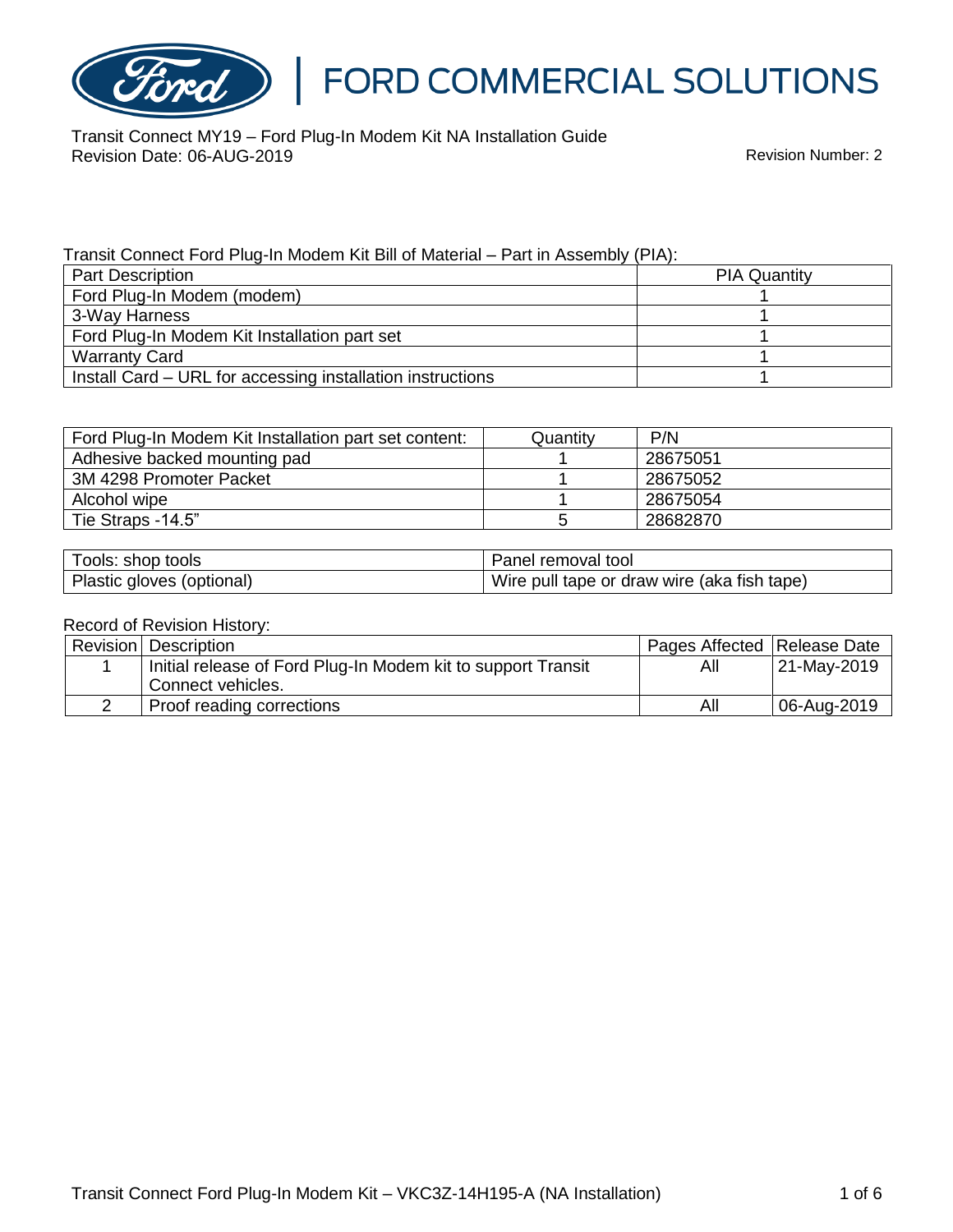

Transit Connect MY19 – Ford Plug-In Modem Kit NA Installation Guide Revision Date: 06-AUG-2019 **Revision Date: 06-AUG-2019** 

#### Transit Connect Ford Plug-In Modem Kit Bill of Material – Part in Assembly (PIA):

| <b>Part Description</b>                                    | <b>PIA Quantity</b> |
|------------------------------------------------------------|---------------------|
| Ford Plug-In Modem (modem)                                 |                     |
| 3-Way Harness                                              |                     |
| Ford Plug-In Modem Kit Installation part set               |                     |
| <b>Warranty Card</b>                                       |                     |
| Install Card - URL for accessing installation instructions |                     |

| Ford Plug-In Modem Kit Installation part set content: | Quantitv | P/N      |
|-------------------------------------------------------|----------|----------|
| Adhesive backed mounting pad                          |          | 28675051 |
| 3M 4298 Promoter Packet                               |          | 28675052 |
| Alcohol wipe                                          |          | 28675054 |
| Tie Straps -14.5"                                     |          | 28682870 |

| Tools: shop tools         | Panel removal tool                          |
|---------------------------|---------------------------------------------|
| Plastic gloves (optional) | Wire pull tape or draw wire (aka fish tape) |

#### Record of Revision History:

| Revision   Description                                       | Pages Affected   Release Date |             |
|--------------------------------------------------------------|-------------------------------|-------------|
| Initial release of Ford Plug-In Modem kit to support Transit | All                           | 21-May-2019 |
| Connect vehicles.                                            |                               |             |
| Proof reading corrections                                    | All                           | 06-Aug-2019 |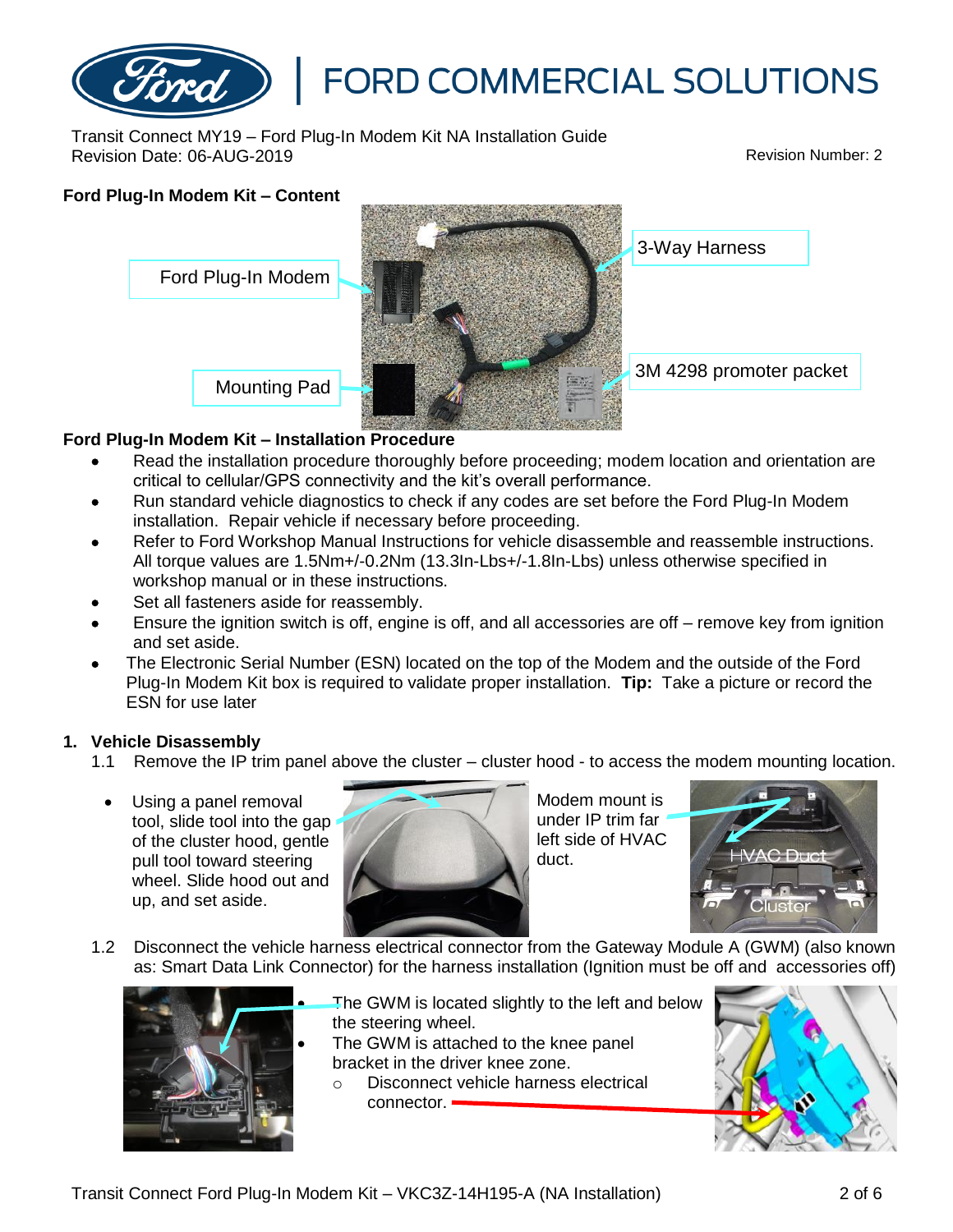

Transit Connect MY19 – Ford Plug-In Modem Kit NA Installation Guide Revision Date: 06-AUG-2019 Revision Number: 2

# **Ford Plug-In Modem Kit – Content**



# **Ford Plug-In Modem Kit – Installation Procedure**

- Read the installation procedure thoroughly before proceeding; modem location and orientation are critical to cellular/GPS connectivity and the kit's overall performance.
- Run standard vehicle diagnostics to check if any codes are set before the Ford Plug-In Modem installation. Repair vehicle if necessary before proceeding.
- Refer to Ford Workshop Manual Instructions for vehicle disassemble and reassemble instructions. All torque values are 1.5Nm+/-0.2Nm (13.3In-Lbs+/-1.8In-Lbs) unless otherwise specified in workshop manual or in these instructions.
- Set all fasteners aside for reassembly.
- Ensure the ignition switch is off, engine is off, and all accessories are off remove key from ignition and set aside.
- The Electronic Serial Number (ESN) located on the top of the Modem and the outside of the Ford Plug-In Modem Kit box is required to validate proper installation. **Tip:** Take a picture or record the ESN for use later

### **1. Vehicle Disassembly**

- 1.1 Remove the IP trim panel above the cluster cluster hood to access the modem mounting location.
	- Using a panel removal tool, slide tool into the gap of the cluster hood, gentle pull tool toward steering wheel. Slide hood out and up, and set aside.



Modem mount is under IP trim far left side of HVAC duct.



1.2 Disconnect the vehicle harness electrical connector from the Gateway Module A (GWM) (also known as: Smart Data Link Connector) for the harness installation (Ignition must be off and accessories off)



- The GWM is located slightly to the left and below the steering wheel.
- The GWM is attached to the knee panel bracket in the driver knee zone.
	- o Disconnect vehicle harness electrical connector.

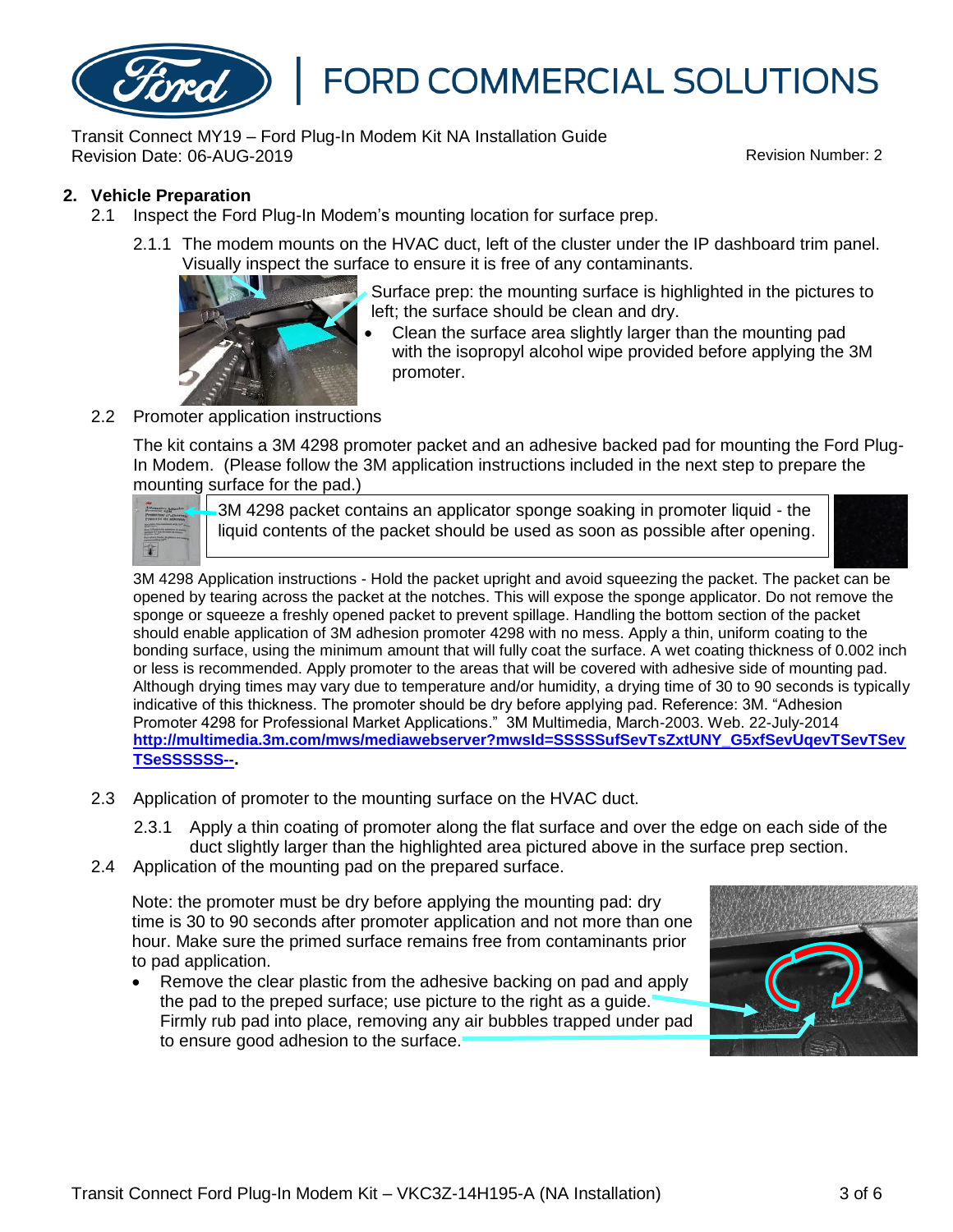

Transit Connect MY19 – Ford Plug-In Modem Kit NA Installation Guide Revision Date: 06-AUG-2019 Revision Number: 2

### **2. Vehicle Preparation**

- 2.1 Inspect the Ford Plug-In Modem's mounting location for surface prep.
	- 2.1.1 The modem mounts on the HVAC duct, left of the cluster under the IP dashboard trim panel. Visually inspect the surface to ensure it is free of any contaminants.



Surface prep: the mounting surface is highlighted in the pictures to left; the surface should be clean and dry.

- Clean the surface area slightly larger than the mounting pad with the isopropyl alcohol wipe provided before applying the 3M promoter.
- 2.2 Promoter application instructions

The kit contains a 3M 4298 promoter packet and an adhesive backed pad for mounting the Ford Plug-In Modem. (Please follow the 3M application instructions included in the next step to prepare the mounting surface for the pad.)



3M 4298 packet contains an applicator sponge soaking in promoter liquid - the liquid contents of the packet should be used as soon as possible after opening.



3M 4298 Application instructions - Hold the packet upright and avoid squeezing the packet. The packet can be opened by tearing across the packet at the notches. This will expose the sponge applicator. Do not remove the sponge or squeeze a freshly opened packet to prevent spillage. Handling the bottom section of the packet should enable application of 3M adhesion promoter 4298 with no mess. Apply a thin, uniform coating to the bonding surface, using the minimum amount that will fully coat the surface. A wet coating thickness of 0.002 inch or less is recommended. Apply promoter to the areas that will be covered with adhesive side of mounting pad. Although drying times may vary due to temperature and/or humidity, a drying time of 30 to 90 seconds is typically indicative of this thickness. The promoter should be dry before applying pad. Reference: 3M. "Adhesion Promoter 4298 for Professional Market Applications." 3M Multimedia, March-2003. Web. 22-July-2014 **[http://multimedia.3m.com/mws/mediawebserver?mwsId=SSSSSufSevTsZxtUNY\\_G5xfSevUqevTSevTSev](http://multimedia.3m.com/mws/mediawebserver?mwsId=SSSSSufSevTsZxtUNY_G5xfSevUqevTSevTSevTSeSSSSSS--) [TSeSSSSSS--](http://multimedia.3m.com/mws/mediawebserver?mwsId=SSSSSufSevTsZxtUNY_G5xfSevUqevTSevTSevTSeSSSSSS--).**

2.3 Application of promoter to the mounting surface on the HVAC duct.

2.3.1 Apply a thin coating of promoter along the flat surface and over the edge on each side of the duct slightly larger than the highlighted area pictured above in the surface prep section.

2.4 Application of the mounting pad on the prepared surface.

Note: the promoter must be dry before applying the mounting pad: dry time is 30 to 90 seconds after promoter application and not more than one hour. Make sure the primed surface remains free from contaminants prior to pad application.

• Remove the clear plastic from the adhesive backing on pad and apply the pad to the preped surface; use picture to the right as a guide. Firmly rub pad into place, removing any air bubbles trapped under pad to ensure good adhesion to the surface.

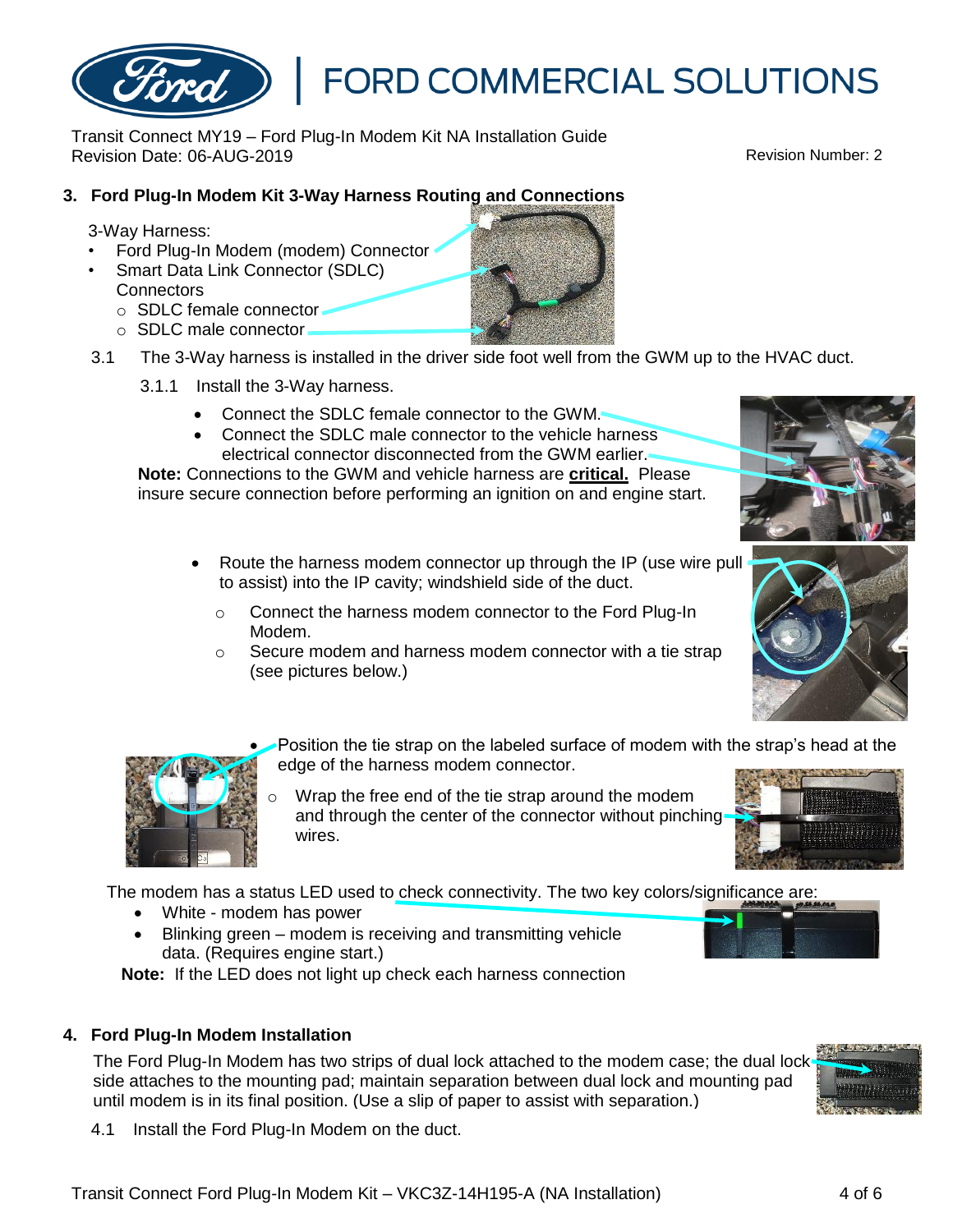Transit Connect MY19 – Ford Plug-In Modem Kit NA Installation Guide Revision Date: 06-AUG-2019 Revision Number: 2

### **3. Ford Plug-In Modem Kit 3-Way Harness Routing and Connections**

#### 3-Way Harness:

- Ford Plug-In Modem (modem) Connector
- Smart Data Link Connector (SDLC) **Connectors** 
	- o SDLC female connector
	- $\circ$  SDLC male connector.
- 3.1 The 3-Way harness is installed in the driver side foot well from the GWM up to the HVAC duct.
	- 3.1.1 Install the 3-Way harness.
		- Connect the SDLC female connector to the GWM.
		- Connect the SDLC male connector to the vehicle harness electrical connector disconnected from the GWM earlier.

**Note:** Connections to the GWM and vehicle harness are **critical.** Please insure secure connection before performing an ignition on and engine start.

- Route the harness modem connector up through the IP (use wire pull to assist) into the IP cavity; windshield side of the duct.
	- o Connect the harness modem connector to the Ford Plug-In Modem.
	- o Secure modem and harness modem connector with a tie strap (see pictures below.)

• Position the tie strap on the labeled surface of modem with the strap's head at the edge of the harness modem connector.

Wrap the free end of the tie strap around the modem and through the center of the connector without pinching wires.

The modem has a status LED used to check connectivity. The two key colors/significance are:

- White modem has power
- Blinking green modem is receiving and transmitting vehicle data. (Requires engine start.)

**Note:** If the LED does not light up check each harness connection

#### **4. Ford Plug-In Modem Installation**

The Ford Plug-In Modem has two strips of dual lock attached to the modem case; the dual lock side attaches to the mounting pad; maintain separation between dual lock and mounting pad until modem is in its final position. (Use a slip of paper to assist with separation.)

4.1 Install the Ford Plug-In Modem on the duct.











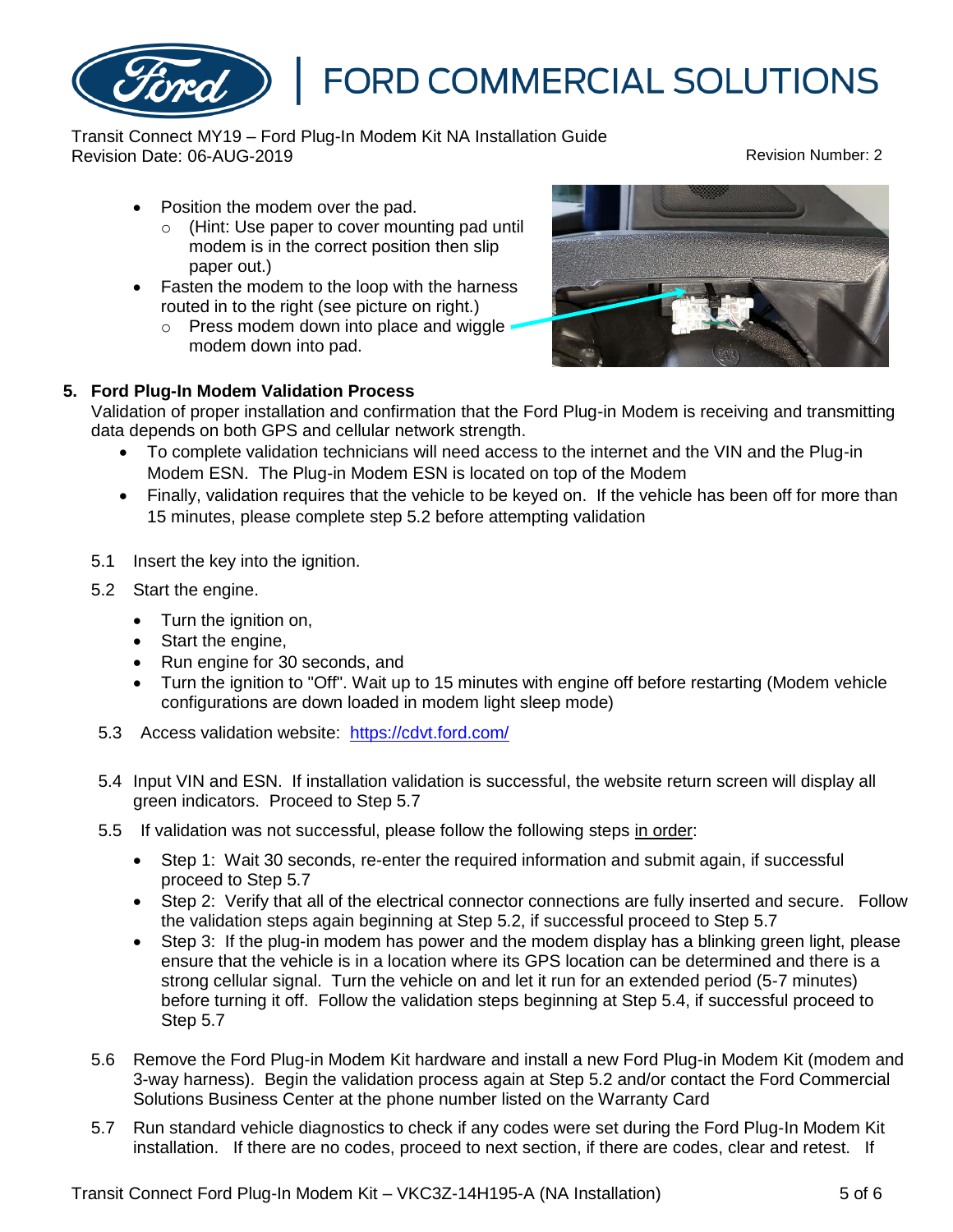

Transit Connect MY19 – Ford Plug-In Modem Kit NA Installation Guide Revision Date: 06-AUG-2019 Revision Number: 2

- Position the modem over the pad.
	- o (Hint: Use paper to cover mounting pad until modem is in the correct position then slip paper out.)
- Fasten the modem to the loop with the harness routed in to the right (see picture on right.)
	- o Press modem down into place and wiggle modem down into pad.



### **5. Ford Plug-In Modem Validation Process**

Validation of proper installation and confirmation that the Ford Plug-in Modem is receiving and transmitting data depends on both GPS and cellular network strength.

- To complete validation technicians will need access to the internet and the VIN and the Plug-in Modem ESN. The Plug-in Modem ESN is located on top of the Modem
- Finally, validation requires that the vehicle to be keyed on. If the vehicle has been off for more than 15 minutes, please complete step 5.2 before attempting validation
- 5.1 Insert the key into the ignition.
- 5.2 Start the engine.
	- Turn the ignition on,
	- Start the engine,
	- Run engine for 30 seconds, and
	- Turn the ignition to "Off". Wait up to 15 minutes with engine off before restarting (Modem vehicle configurations are down loaded in modem light sleep mode)
- 5.3 Access validation website: <https://cdvt.ford.com/>
- 5.4 Input VIN and ESN. If installation validation is successful, the website return screen will display all green indicators. Proceed to Step 5.7
- 5.5 If validation was not successful, please follow the following steps in order:
	- Step 1: Wait 30 seconds, re-enter the required information and submit again, if successful proceed to Step 5.7
	- Step 2: Verify that all of the electrical connector connections are fully inserted and secure. Follow the validation steps again beginning at Step 5.2, if successful proceed to Step 5.7
	- Step 3: If the plug-in modem has power and the modem display has a blinking green light, please ensure that the vehicle is in a location where its GPS location can be determined and there is a strong cellular signal. Turn the vehicle on and let it run for an extended period (5-7 minutes) before turning it off. Follow the validation steps beginning at Step 5.4, if successful proceed to Step 5.7
- 5.6 Remove the Ford Plug-in Modem Kit hardware and install a new Ford Plug-in Modem Kit (modem and 3-way harness). Begin the validation process again at Step 5.2 and/or contact the Ford Commercial Solutions Business Center at the phone number listed on the Warranty Card
- 5.7 Run standard vehicle diagnostics to check if any codes were set during the Ford Plug-In Modem Kit installation. If there are no codes, proceed to next section, if there are codes, clear and retest. If